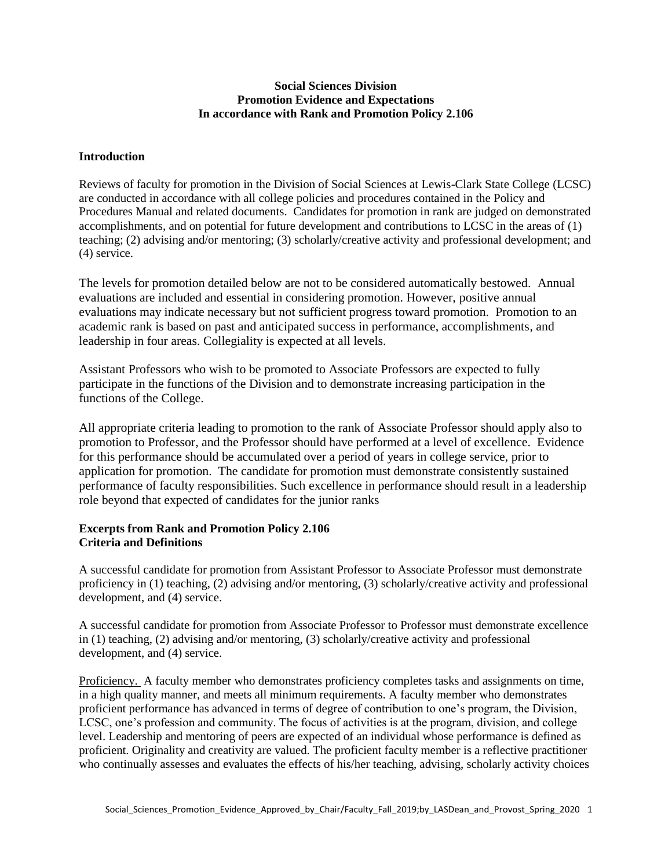#### **Social Sciences Division Promotion Evidence and Expectations In accordance with Rank and Promotion Policy 2.106**

## **Introduction**

Reviews of faculty for promotion in the Division of Social Sciences at Lewis-Clark State College (LCSC) are conducted in accordance with all college policies and procedures contained in the Policy and Procedures Manual and related documents. Candidates for promotion in rank are judged on demonstrated accomplishments, and on potential for future development and contributions to LCSC in the areas of (1) teaching; (2) advising and/or mentoring; (3) scholarly/creative activity and professional development; and (4) service.

The levels for promotion detailed below are not to be considered automatically bestowed. Annual evaluations are included and essential in considering promotion. However, positive annual evaluations may indicate necessary but not sufficient progress toward promotion. Promotion to an academic rank is based on past and anticipated success in performance, accomplishments, and leadership in four areas. Collegiality is expected at all levels.

Assistant Professors who wish to be promoted to Associate Professors are expected to fully participate in the functions of the Division and to demonstrate increasing participation in the functions of the College.

All appropriate criteria leading to promotion to the rank of Associate Professor should apply also to promotion to Professor, and the Professor should have performed at a level of excellence. Evidence for this performance should be accumulated over a period of years in college service, prior to application for promotion. The candidate for promotion must demonstrate consistently sustained performance of faculty responsibilities. Such excellence in performance should result in a leadership role beyond that expected of candidates for the junior ranks

## **Excerpts from Rank and Promotion Policy 2.106 Criteria and Definitions**

A successful candidate for promotion from Assistant Professor to Associate Professor must demonstrate proficiency in (1) teaching, (2) advising and/or mentoring, (3) scholarly/creative activity and professional development, and (4) service.

A successful candidate for promotion from Associate Professor to Professor must demonstrate excellence in (1) teaching, (2) advising and/or mentoring, (3) scholarly/creative activity and professional development, and (4) service.

Proficiency. A faculty member who demonstrates proficiency completes tasks and assignments on time, in a high quality manner, and meets all minimum requirements. A faculty member who demonstrates proficient performance has advanced in terms of degree of contribution to one's program, the Division, LCSC, one's profession and community. The focus of activities is at the program, division, and college level. Leadership and mentoring of peers are expected of an individual whose performance is defined as proficient. Originality and creativity are valued. The proficient faculty member is a reflective practitioner who continually assesses and evaluates the effects of his/her teaching, advising, scholarly activity choices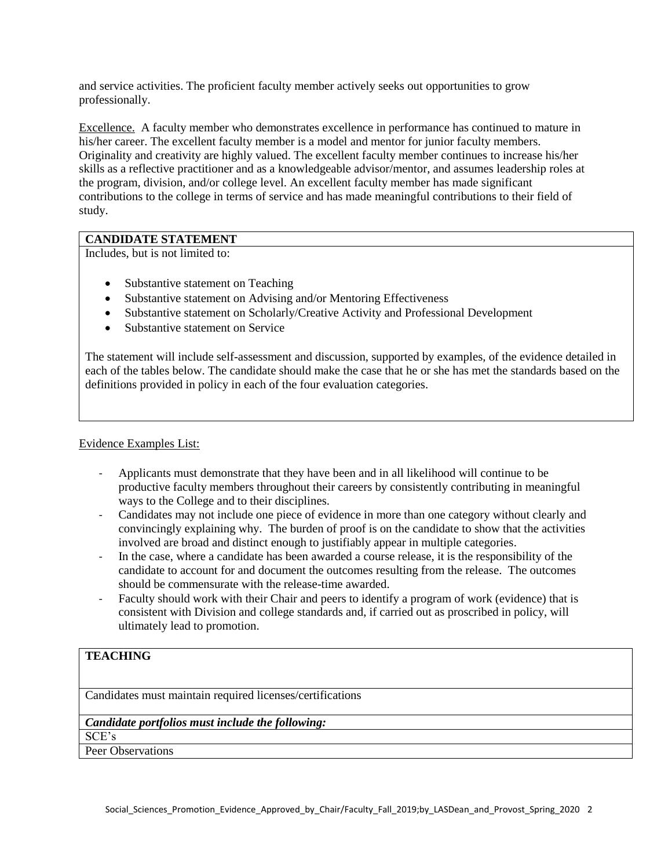and service activities. The proficient faculty member actively seeks out opportunities to grow professionally.

Excellence. A faculty member who demonstrates excellence in performance has continued to mature in his/her career. The excellent faculty member is a model and mentor for junior faculty members. Originality and creativity are highly valued. The excellent faculty member continues to increase his/her skills as a reflective practitioner and as a knowledgeable advisor/mentor, and assumes leadership roles at the program, division, and/or college level. An excellent faculty member has made significant contributions to the college in terms of service and has made meaningful contributions to their field of study.

# **CANDIDATE STATEMENT**

Includes, but is not limited to:

- Substantive statement on Teaching
- Substantive statement on Advising and/or Mentoring Effectiveness
- Substantive statement on Scholarly/Creative Activity and Professional Development
- Substantive statement on Service

The statement will include self-assessment and discussion, supported by examples, of the evidence detailed in each of the tables below. The candidate should make the case that he or she has met the standards based on the definitions provided in policy in each of the four evaluation categories.

## Evidence Examples List:

- Applicants must demonstrate that they have been and in all likelihood will continue to be productive faculty members throughout their careers by consistently contributing in meaningful ways to the College and to their disciplines.
- Candidates may not include one piece of evidence in more than one category without clearly and convincingly explaining why. The burden of proof is on the candidate to show that the activities involved are broad and distinct enough to justifiably appear in multiple categories.
- In the case, where a candidate has been awarded a course release, it is the responsibility of the candidate to account for and document the outcomes resulting from the release. The outcomes should be commensurate with the release-time awarded.
- Faculty should work with their Chair and peers to identify a program of work (evidence) that is consistent with Division and college standards and, if carried out as proscribed in policy, will ultimately lead to promotion.

# **TEACHING**

Candidates must maintain required licenses/certifications

# *Candidate portfolios must include the following:*

SCE's

Peer Observations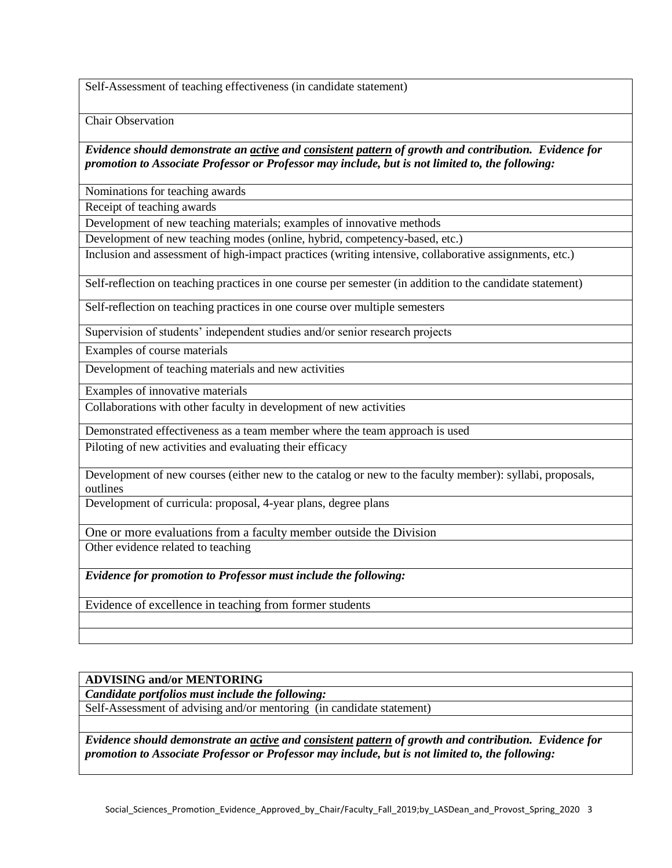Self-Assessment of teaching effectiveness (in candidate statement)

Chair Observation

*Evidence should demonstrate an active and consistent pattern of growth and contribution. Evidence for promotion to Associate Professor or Professor may include, but is not limited to, the following:*

Nominations for teaching awards

Receipt of teaching awards

Development of new teaching materials; examples of innovative methods

Development of new teaching modes (online, hybrid, competency-based, etc.)

Inclusion and assessment of high-impact practices (writing intensive, collaborative assignments, etc.)

Self-reflection on teaching practices in one course per semester (in addition to the candidate statement)

Self-reflection on teaching practices in one course over multiple semesters

Supervision of students' independent studies and/or senior research projects

Examples of course materials

Development of teaching materials and new activities

Examples of innovative materials

Collaborations with other faculty in development of new activities

Demonstrated effectiveness as a team member where the team approach is used

Piloting of new activities and evaluating their efficacy

Development of new courses (either new to the catalog or new to the faculty member): syllabi, proposals, outlines

Development of curricula: proposal, 4-year plans, degree plans

One or more evaluations from a faculty member outside the Division

Other evidence related to teaching

*Evidence for promotion to Professor must include the following:*

Evidence of excellence in teaching from former students

#### **ADVISING and/or MENTORING**

*Candidate portfolios must include the following:*

Self-Assessment of advising and/or mentoring (in candidate statement)

*Evidence should demonstrate an active and consistent pattern of growth and contribution. Evidence for promotion to Associate Professor or Professor may include, but is not limited to, the following:*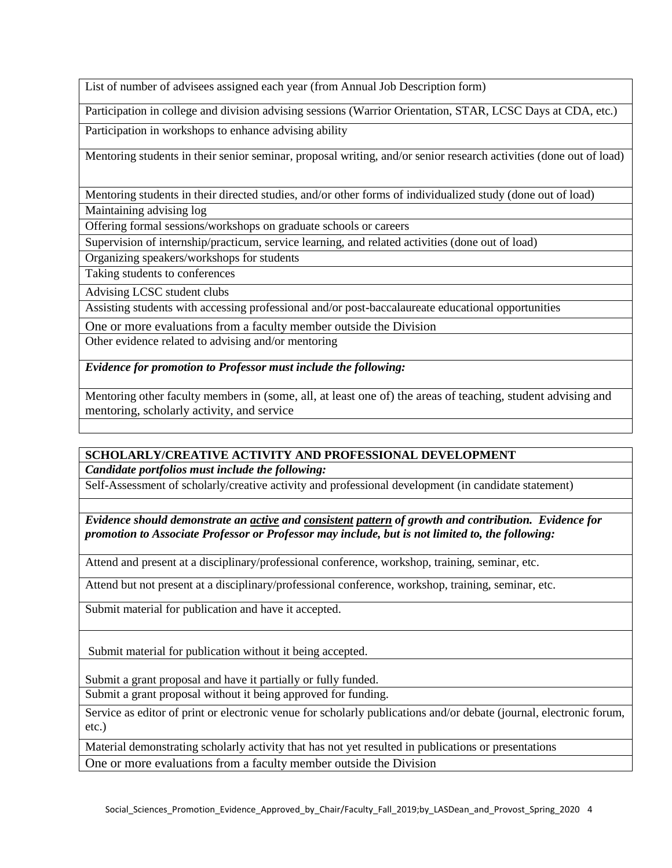List of number of advisees assigned each year (from Annual Job Description form)

Participation in college and division advising sessions (Warrior Orientation, STAR, LCSC Days at CDA, etc.)

Participation in workshops to enhance advising ability

Mentoring students in their senior seminar, proposal writing, and/or senior research activities (done out of load)

Mentoring students in their directed studies, and/or other forms of individualized study (done out of load) Maintaining advising log

Offering formal sessions/workshops on graduate schools or careers

Supervision of internship/practicum, service learning, and related activities (done out of load)

Organizing speakers/workshops for students

Taking students to conferences

Advising LCSC student clubs

Assisting students with accessing professional and/or post-baccalaureate educational opportunities

One or more evaluations from a faculty member outside the Division

Other evidence related to advising and/or mentoring

*Evidence for promotion to Professor must include the following:*

Mentoring other faculty members in (some, all, at least one of) the areas of teaching, student advising and mentoring, scholarly activity, and service

# **SCHOLARLY/CREATIVE ACTIVITY AND PROFESSIONAL DEVELOPMENT** *Candidate portfolios must include the following:*

Self-Assessment of scholarly/creative activity and professional development (in candidate statement)

*Evidence should demonstrate an active and consistent pattern of growth and contribution. Evidence for promotion to Associate Professor or Professor may include, but is not limited to, the following:*

Attend and present at a disciplinary/professional conference, workshop, training, seminar, etc.

Attend but not present at a disciplinary/professional conference, workshop, training, seminar, etc.

Submit material for publication and have it accepted.

Submit material for publication without it being accepted.

Submit a grant proposal and have it partially or fully funded.

Submit a grant proposal without it being approved for funding.

Service as editor of print or electronic venue for scholarly publications and/or debate (journal, electronic forum, etc.)

Material demonstrating scholarly activity that has not yet resulted in publications or presentations One or more evaluations from a faculty member outside the Division